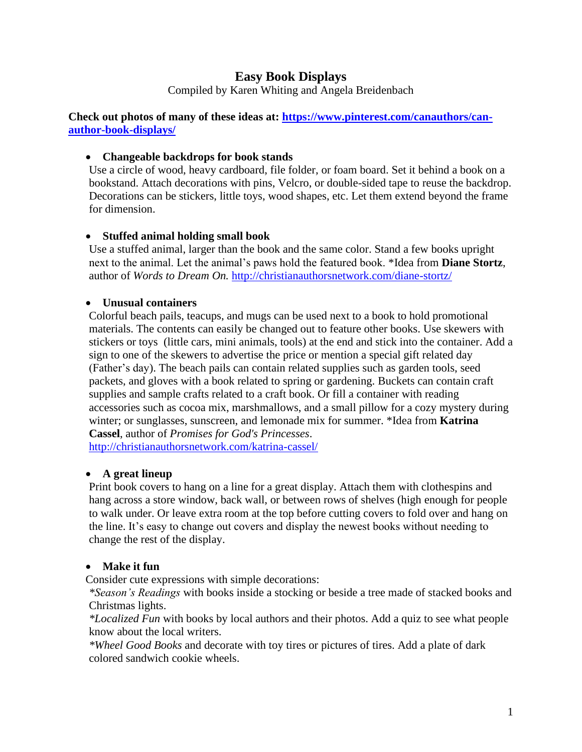# **Easy Book Displays**

Compiled by Karen Whiting and Angela Breidenbach

**Check out photos of many of these ideas at: [https://www.pinterest.com/canauthors/can](https://www.pinterest.com/canauthors/can-author-book-displays/)[author-book-displays/](https://www.pinterest.com/canauthors/can-author-book-displays/)**

#### • **Changeable backdrops for book stands**

Use a circle of wood, heavy cardboard, file folder, or foam board. Set it behind a book on a bookstand. Attach decorations with pins, Velcro, or double-sided tape to reuse the backdrop. Decorations can be stickers, little toys, wood shapes, etc. Let them extend beyond the frame for dimension.

#### • **Stuffed animal holding small book**

Use a stuffed animal, larger than the book and the same color. Stand a few books upright next to the animal. Let the animal's paws hold the featured book. \*Idea from **Diane Stortz**, author of *Words to Dream On.* <http://christianauthorsnetwork.com/diane-stortz/>

#### • **Unusual containers**

Colorful beach pails, teacups, and mugs can be used next to a book to hold promotional materials. The contents can easily be changed out to feature other books. Use skewers with stickers or toys (little cars, mini animals, tools) at the end and stick into the container. Add a sign to one of the skewers to advertise the price or mention a special gift related day (Father's day). The beach pails can contain related supplies such as garden tools, seed packets, and gloves with a book related to spring or gardening. Buckets can contain craft supplies and sample crafts related to a craft book. Or fill a container with reading accessories such as cocoa mix, marshmallows, and a small pillow for a cozy mystery during winter; or sunglasses, sunscreen, and lemonade mix for summer. \*Idea from **Katrina Cassel**, author of *Promises for God's Princesses*.

<http://christianauthorsnetwork.com/katrina-cassel/>

### • **A great lineup**

Print book covers to hang on a line for a great display. Attach them with clothespins and hang across a store window, back wall, or between rows of shelves (high enough for people to walk under. Or leave extra room at the top before cutting covers to fold over and hang on the line. It's easy to change out covers and display the newest books without needing to change the rest of the display.

### • **Make it fun**

Consider cute expressions with simple decorations:

*\*Season's Readings* with books inside a stocking or beside a tree made of stacked books and Christmas lights.

*\*Localized Fun* with books by local authors and their photos. Add a quiz to see what people know about the local writers.

*\*Wheel Good Books* and decorate with toy tires or pictures of tires. Add a plate of dark colored sandwich cookie wheels.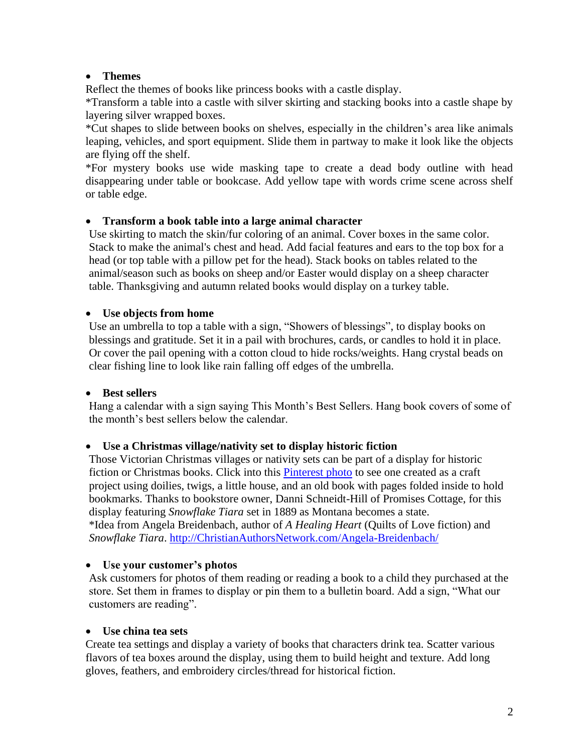### • **Themes**

Reflect the themes of books like princess books with a castle display.

\*Transform a table into a castle with silver skirting and stacking books into a castle shape by layering silver wrapped boxes.

\*Cut shapes to slide between books on shelves, especially in the children's area like animals leaping, vehicles, and sport equipment. Slide them in partway to make it look like the objects are flying off the shelf.

\*For mystery books use wide masking tape to create a dead body outline with head disappearing under table or bookcase. Add yellow tape with words crime scene across shelf or table edge.

#### • **Transform a book table into a large animal character**

Use skirting to match the skin/fur coloring of an animal. Cover boxes in the same color. Stack to make the animal's chest and head. Add facial features and ears to the top box for a head (or top table with a pillow pet for the head). Stack books on tables related to the animal/season such as books on sheep and/or Easter would display on a sheep character table. Thanksgiving and autumn related books would display on a turkey table.

#### • **Use objects from home**

Use an umbrella to top a table with a sign, "Showers of blessings", to display books on blessings and gratitude. Set it in a pail with brochures, cards, or candles to hold it in place. Or cover the pail opening with a cotton cloud to hide rocks/weights. Hang crystal beads on clear fishing line to look like rain falling off edges of the umbrella.

### • **Best sellers**

Hang a calendar with a sign saying This Month's Best Sellers. Hang book covers of some of the month's best sellers below the calendar.

### • **Use a Christmas village/nativity set to display historic fiction**

Those Victorian Christmas villages or nativity sets can be part of a display for historic fiction or Christmas books. Click into this Pinterest photo to see one created as a craft project using doilies, twigs, a little house, and an old book with pages folded inside to hold bookmarks. Thanks to bookstore owner, Danni Schneidt-Hill of Promises Cottage, for this display featuring *Snowflake Tiara* set in 1889 as Montana becomes a state. \*Idea from Angela Breidenbach, author of *A Healing Heart* (Quilts of Love fiction) and *Snowflake Tiara*. [http://ChristianAuthorsNetwork.com/Angela-Breidenbach/](http://christianauthorsnetwork.com/Angela-Breidenbach/)

#### • **Use your customer's photos**

Ask customers for photos of them reading or reading a book to a child they purchased at the store. Set them in frames to display or pin them to a bulletin board. Add a sign, "What our customers are reading".

### • **Use china tea sets**

Create tea settings and display a variety of books that characters drink tea. Scatter various flavors of tea boxes around the display, using them to build height and texture. Add long gloves, feathers, and embroidery circles/thread for historical fiction.